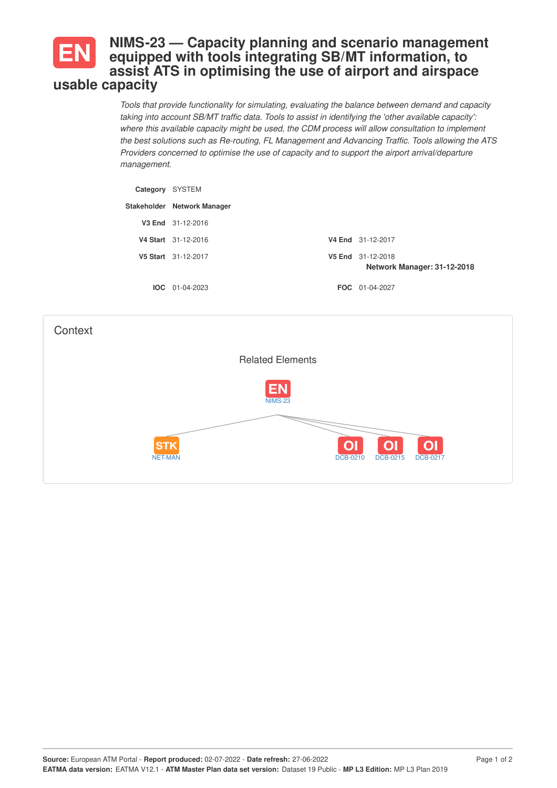## **NIMS-23 — Capacity planning and scenario management equipped with tools integrating SB/MT information, to assist ATS in optimising the use of airport and airspace usable capacity**

*Tools that provide functionality for simulating, evaluating the balance between demand and capacity taking into account SB/MT traffic data. Tools to assist in identifying the 'other available capacity': where this available capacity might be used, the CDM process will allow consultation to implement the best solutions such as Re-routing, FL Management and Advancing Traffic. Tools allowing the ATS Providers concerned to optimise the use of capacity and to support the airport arrival/departure management.*

| Category | SYSTEM                      |        |                                           |
|----------|-----------------------------|--------|-------------------------------------------|
|          | Stakeholder Network Manager |        |                                           |
|          | V3 End 31-12-2016           |        |                                           |
|          | V4 Start 31-12-2016         |        | <b>V4 End</b> 31-12-2017                  |
|          | V5 Start 31-12-2017         | V5 End | 31-12-2018<br>Network Manager: 31-12-2018 |
|          | $10C$ 01-04-2023            |        | <b>FOC</b> 01-04-2027                     |